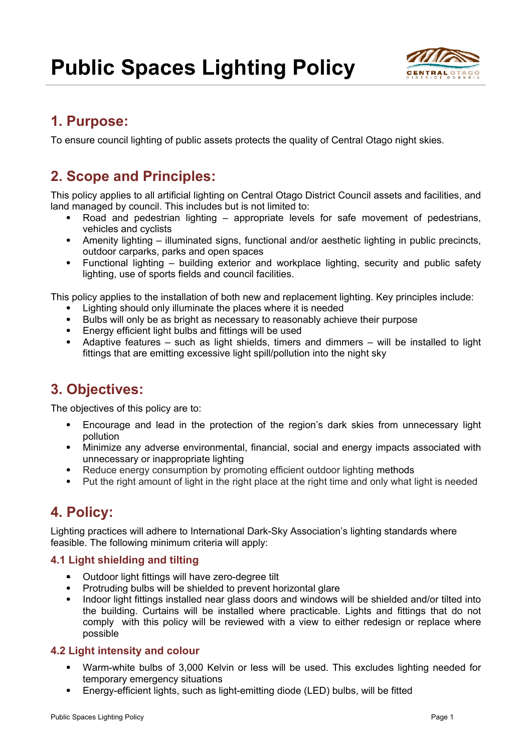

## **1. Purpose:**

To ensure council lighting of public assets protects the quality of Central Otago night skies.

# **2. Scope and Principles:**

This policy applies to all artificial lighting on Central Otago District Council assets and facilities, and land managed by council. This includes but is not limited to:

- Road and pedestrian lighting appropriate levels for safe movement of pedestrians, vehicles and cyclists
- Amenity lighting illuminated signs, functional and/or aesthetic lighting in public precincts, outdoor carparks, parks and open spaces
- Functional lighting building exterior and workplace lighting, security and public safety lighting, use of sports fields and council facilities.

This policy applies to the installation of both new and replacement lighting. Key principles include:

- Lighting should only illuminate the places where it is needed
- Bulbs will only be as bright as necessary to reasonably achieve their purpose
- Energy efficient light bulbs and fittings will be used
- Adaptive features such as light shields, timers and dimmers will be installed to light fittings that are emitting excessive light spill/pollution into the night sky

## **3. Objectives:**

The objectives of this policy are to:

- Encourage and lead in the protection of the region's dark skies from unnecessary light pollution
- Minimize any adverse environmental, financial, social and energy impacts associated with unnecessary or inappropriate lighting
- Reduce energy consumption by promoting efficient outdoor lighting methods
- Put the right amount of light in the right place at the right time and only what light is needed

## **4. Policy:**

Lighting practices will adhere to International Dark-Sky Association's lighting standards where feasible. The following minimum criteria will apply:

### **4.1 Light shielding and tilting**

- Outdoor light fittings will have zero-degree tilt
- Protruding bulbs will be shielded to prevent horizontal glare
- Indoor light fittings installed near glass doors and windows will be shielded and/or tilted into the building. Curtains will be installed where practicable. Lights and fittings that do not comply with this policy will be reviewed with a view to either redesign or replace where possible

#### **4.2 Light intensity and colour**

- Warm-white bulbs of 3,000 Kelvin or less will be used. This excludes lighting needed for temporary emergency situations
- Energy-efficient lights, such as light-emitting diode (LED) bulbs, will be fitted